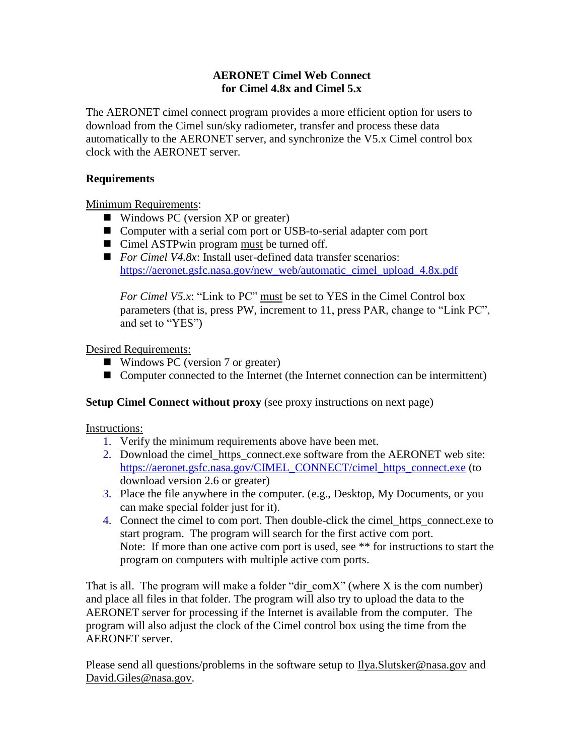## **AERONET Cimel Web Connect for Cimel 4.8x and Cimel 5.x**

The AERONET cimel connect program provides a more efficient option for users to download from the Cimel sun/sky radiometer, transfer and process these data automatically to the AERONET server, and synchronize the V5.x Cimel control box clock with the AERONET server.

## **Requirements**

Minimum Requirements:

- Windows PC (version XP or greater)
- Computer with a serial com port or USB-to-serial adapter com port
- Cimel ASTPwin program must be turned off.
- *For Cimel V4.8x*: Install user-defined data transfer scenarios: [https://aeronet.gsfc.nasa.gov/new\\_web/automatic\\_cimel\\_upload\\_4.8x.pdf](https://aeronet.gsfc.nasa.gov/new_web/automatic_cimel_upload_4.8x.pdf)

*For Cimel V5.x*: "Link to PC" must be set to YES in the Cimel Control box parameters (that is, press PW, increment to 11, press PAR, change to "Link PC", and set to "YES")

Desired Requirements:

- Windows PC (version 7 or greater)
- Computer connected to the Internet (the Internet connection can be intermittent)

## **Setup Cimel Connect without proxy** (see proxy instructions on next page)

Instructions:

- 1. Verify the minimum requirements above have been met.
- 2. Download the cimel https connect exe software from the AERONET web site: [https://aeronet.gsfc.nasa.gov/CIMEL\\_CONNECT/cimel\\_https\\_connect.exe](https://aeronet.gsfc.nasa.gov/CIMEL_CONNECT/cimel_https_connect.exe) (to download version 2.6 or greater)
- 3. Place the file anywhere in the computer. (e.g., Desktop, My Documents, or you can make special folder just for it).
- 4. Connect the cimel to com port. Then double-click the cimel\_https\_connect.exe to start program. The program will search for the first active com port. Note: If more than one active com port is used, see \*\* for instructions to start the program on computers with multiple active com ports.

That is all. The program will make a folder "dir comX" (where X is the com number) and place all files in that folder. The program will also try to upload the data to the AERONET server for processing if the Internet is available from the computer. The program will also adjust the clock of the Cimel control box using the time from the AERONET server.

Please send all questions/problems in the software setup to [Ilya.Slutsker@nasa.gov](mailto:Ilya.Slutsker@nasa.gov) and [David.Giles@nasa.gov.](mailto:David.Giles@nasa.gov)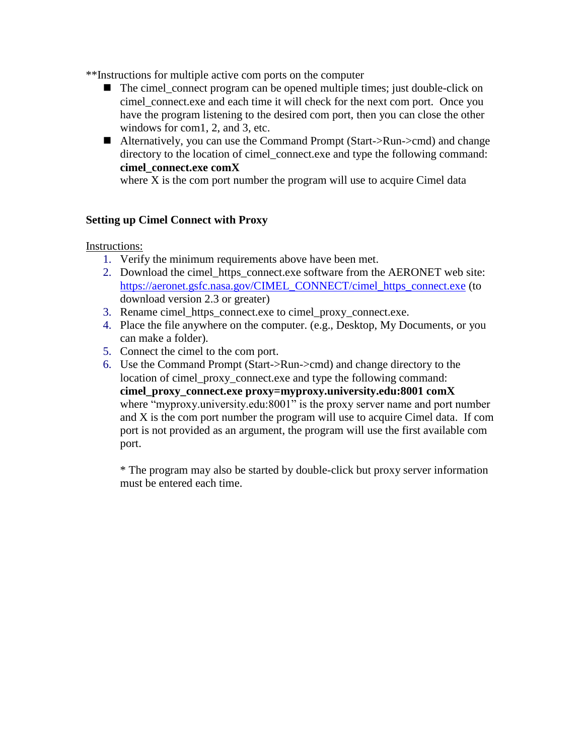\*\*Instructions for multiple active com ports on the computer

- $\blacksquare$  The cimel connect program can be opened multiple times; just double-click on cimel connect.exe and each time it will check for the next com port. Once you have the program listening to the desired com port, then you can close the other windows for com1, 2, and 3, etc.
- Alternatively, you can use the Command Prompt (Start->Run->cmd) and change directory to the location of cimel connect.exe and type the following command: **cimel\_connect.exe comX**

where X is the comport number the program will use to acquire Cimel data

# **Setting up Cimel Connect with Proxy**

Instructions:

- 1. Verify the minimum requirements above have been met.
- 2. Download the cimel\_https\_connect.exe software from the AERONET web site: [https://aeronet.gsfc.nasa.gov/CIMEL\\_CONNECT/cimel\\_https\\_connect.exe](https://aeronet.gsfc.nasa.gov/CIMEL_CONNECT/cimel_https_connect.exe) (to download version 2.3 or greater)
- 3. Rename cimel\_https\_connect.exe to cimel\_proxy\_connect.exe.
- 4. Place the file anywhere on the computer. (e.g., Desktop, My Documents, or you can make a folder).
- 5. Connect the cimel to the com port.
- 6. Use the Command Prompt (Start->Run->cmd) and change directory to the location of cimel\_proxy\_connect.exe and type the following command: **cimel\_proxy\_connect.exe proxy=myproxy.university.edu:8001 comX** where "myproxy.university.edu:8001" is the proxy server name and port number and X is the com port number the program will use to acquire Cimel data. If com port is not provided as an argument, the program will use the first available com port.

\* The program may also be started by double-click but proxy server information must be entered each time.